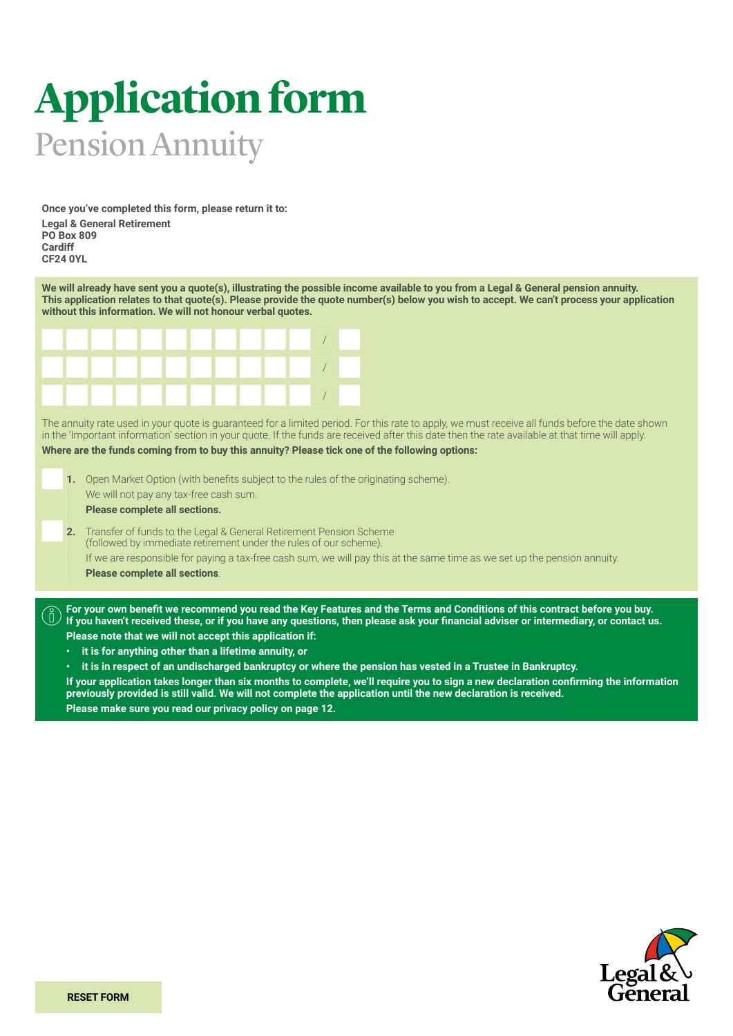# **Application form** Pension Annuity

**Once you've completed this form, please return it to: Legal & General Retirement PO Box 809 Cardiff CF24 0YL**

**We will already have sent you a quote(s), illustrating the possible income available to you from a Legal & General pension annuity.**  This application relates to that quote(s). Please provide the quote number(s) below you wish to accept. We can't process your application **without this information. We will not honour verbal quotes.**



The annuity rate used in your quote is guaranteed for a limited period. For this rate to apply, we must receive all funds before the date shown in the 'Important information' section in your quote. If the funds are received after this date then the rate available at that time will apply. **Where are the funds coming from to buy this annuity? Please tick one of the following options:**

- **1.** Open Market Option (with benefits subject to the rules of the originating scheme). We will not pay any tax-free cash sum. **Please complete all sections.**
- **2.** Transfer of funds to the Legal & General Retirement Pension Scheme (followed by immediate retirement under the rules of our scheme). If we are responsible for paying a tax-free cash sum, we will pay this at the same time as we set up the pension annuity. **Please complete all sections**.

**For your own benefit we recommend you read the Key Features and the Terms and Conditions of this contract before you buy. If you haven't received these, or if you have any questions, then please ask your financial adviser or intermediary, or contact us. Please note that we will not accept this application if:**

**• it is for anything other than a lifetime annuity, or**

**• it is in respect of an undischarged bankruptcy or where the pension has vested in a Trustee in Bankruptcy.**

**If your application takes longer than six months to complete, we'll require you to sign a new declaration confirming the information previously provided is still valid. We will not complete the application until the new declaration is received. Please make sure you read our privacy policy on page 12.**

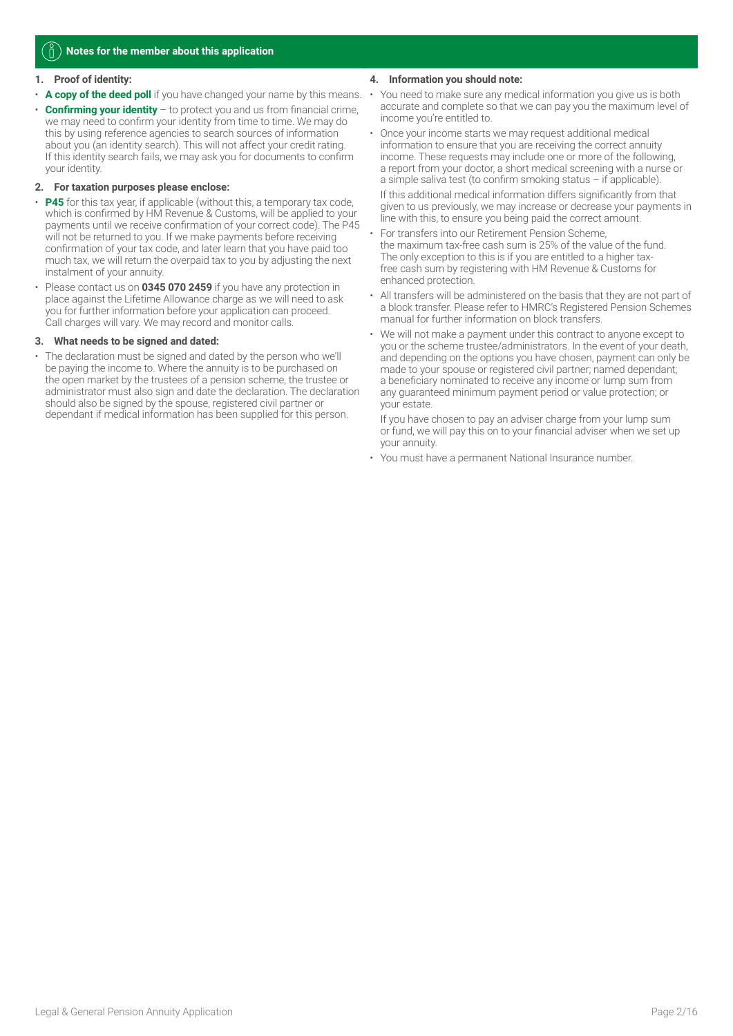#### ň. **Notes for the member about this application**

#### **1. Proof of identity:**

- **A copy of the deed poll** if you have changed your name by this means.
- **Confirming your identity** to protect you and us from financial crime, we may need to confirm your identity from time to time. We may do this by using reference agencies to search sources of information about you (an identity search). This will not affect your credit rating. If this identity search fails, we may ask you for documents to confirm your identity.

#### **2. For taxation purposes please enclose:**

- **P45** for this tax year, if applicable (without this, a temporary tax code, which is confirmed by HM Revenue & Customs, will be applied to your payments until we receive confirmation of your correct code). The P45 will not be returned to you. If we make payments before receiving confirmation of your tax code, and later learn that you have paid too much tax, we will return the overpaid tax to you by adjusting the next instalment of your annuity.
- Please contact us on **0345 070 2459** if you have any protection in place against the Lifetime Allowance charge as we will need to ask you for further information before your application can proceed. Call charges will vary. We may record and monitor calls.

#### **3. What needs to be signed and dated:**

• The declaration must be signed and dated by the person who we'll be paying the income to. Where the annuity is to be purchased on the open market by the trustees of a pension scheme, the trustee or administrator must also sign and date the declaration. The declaration should also be signed by the spouse, registered civil partner or dependant if medical information has been supplied for this person.

#### **4. Information you should note:**

- You need to make sure any medical information you give us is both accurate and complete so that we can pay you the maximum level of income you're entitled to.
- Once your income starts we may request additional medical information to ensure that you are receiving the correct annuity income. These requests may include one or more of the following, a report from your doctor, a short medical screening with a nurse or a simple saliva test (to confirm smoking status – if applicable).

If this additional medical information differs significantly from that given to us previously, we may increase or decrease your payments in line with this, to ensure you being paid the correct amount.

- For transfers into our Retirement Pension Scheme, the maximum tax-free cash sum is 25% of the value of the fund. The only exception to this is if you are entitled to a higher taxfree cash sum by registering with HM Revenue & Customs for enhanced protection.
- All transfers will be administered on the basis that they are not part of a block transfer. Please refer to HMRC's Registered Pension Schemes manual for further information on block transfers.
- We will not make a payment under this contract to anyone except to you or the scheme trustee/administrators. In the event of your death, and depending on the options you have chosen, payment can only be made to your spouse or registered civil partner; named dependant; a beneficiary nominated to receive any income or lump sum from any guaranteed minimum payment period or value protection; or your estate.

If you have chosen to pay an adviser charge from your lump sum or fund, we will pay this on to your financial adviser when we set up your annuity.

• You must have a permanent National Insurance number.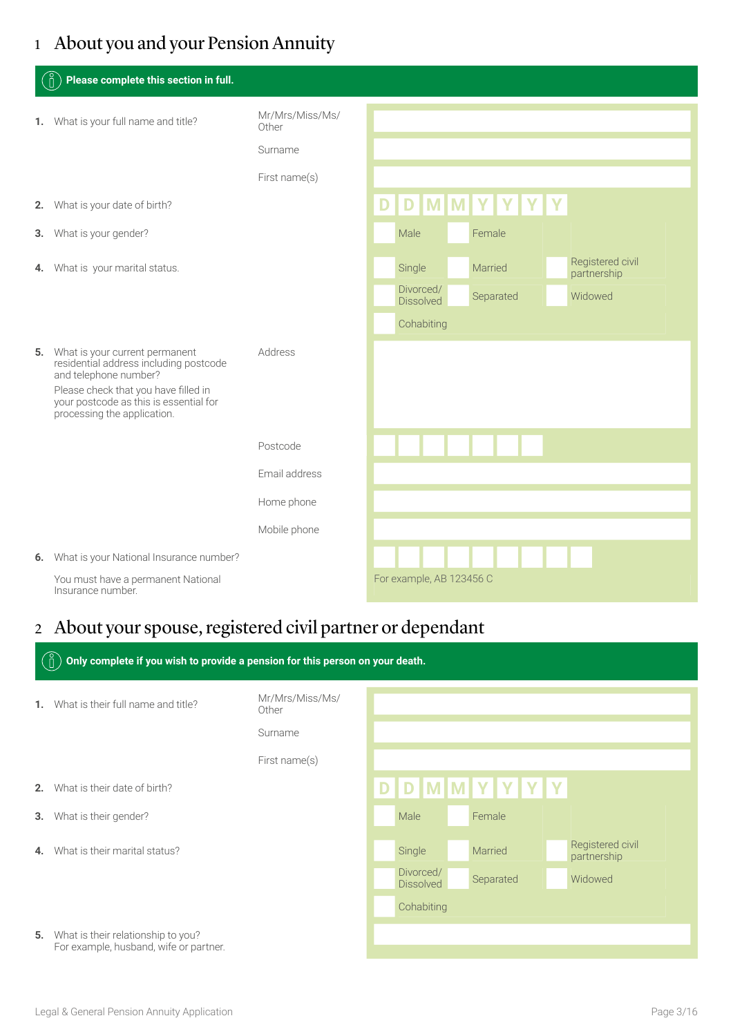## 1 About you and your Pension Annuity

| ်႐ိ<br>Please complete this section in full.                                                                                                                                                                          |                          |                               |           |  |                                 |
|-----------------------------------------------------------------------------------------------------------------------------------------------------------------------------------------------------------------------|--------------------------|-------------------------------|-----------|--|---------------------------------|
| 1. What is your full name and title?                                                                                                                                                                                  | Mr/Mrs/Miss/Ms/<br>Other |                               |           |  |                                 |
|                                                                                                                                                                                                                       | Surname                  |                               |           |  |                                 |
|                                                                                                                                                                                                                       | First name(s)            |                               |           |  |                                 |
| 2. What is your date of birth?                                                                                                                                                                                        |                          | D D M M Y Y Y Y               |           |  |                                 |
| 3. What is your gender?                                                                                                                                                                                               |                          | Male                          | Female    |  |                                 |
| 4. What is your marital status.                                                                                                                                                                                       |                          | Single                        | Married   |  | Registered civil<br>partnership |
|                                                                                                                                                                                                                       |                          | Divorced/<br><b>Dissolved</b> | Separated |  | Widowed                         |
|                                                                                                                                                                                                                       |                          | Cohabiting                    |           |  |                                 |
| 5. What is your current permanent<br>residential address including postcode<br>and telephone number?<br>Please check that you have filled in<br>your postcode as this is essential for<br>processing the application. | Address                  |                               |           |  |                                 |
|                                                                                                                                                                                                                       | Postcode                 |                               |           |  |                                 |
|                                                                                                                                                                                                                       | Email address            |                               |           |  |                                 |
|                                                                                                                                                                                                                       | Home phone               |                               |           |  |                                 |
|                                                                                                                                                                                                                       | Mobile phone             |                               |           |  |                                 |
| 6. What is your National Insurance number?                                                                                                                                                                            |                          |                               |           |  |                                 |
| You must have a permanent National<br>Insurance number.                                                                                                                                                               |                          | For example, AB 123456 C      |           |  |                                 |

## 2 About your spouse, registered civil partner or dependant

|    | Only complete if you wish to provide a pension for this person on your death.          |                          |                               |                 |                                 |
|----|----------------------------------------------------------------------------------------|--------------------------|-------------------------------|-----------------|---------------------------------|
| 1. | What is their full name and title?                                                     | Mr/Mrs/Miss/Ms/<br>Other |                               |                 |                                 |
|    |                                                                                        | Surname                  |                               |                 |                                 |
|    |                                                                                        | First name(s)            |                               |                 |                                 |
| 2. | What is their date of birth?                                                           |                          |                               | D D M M Y Y Y Y |                                 |
| 3. | What is their gender?                                                                  |                          | Male                          | Female          |                                 |
| 4. | What is their marital status?                                                          |                          | Single                        | Married         | Registered civil<br>partnership |
|    |                                                                                        |                          | Divorced/<br><b>Dissolved</b> | Separated       | Widowed                         |
|    |                                                                                        |                          | Cohabiting                    |                 |                                 |
|    | <b>5.</b> What is their relationship to you?<br>For example, husband, wife or partner. |                          |                               |                 |                                 |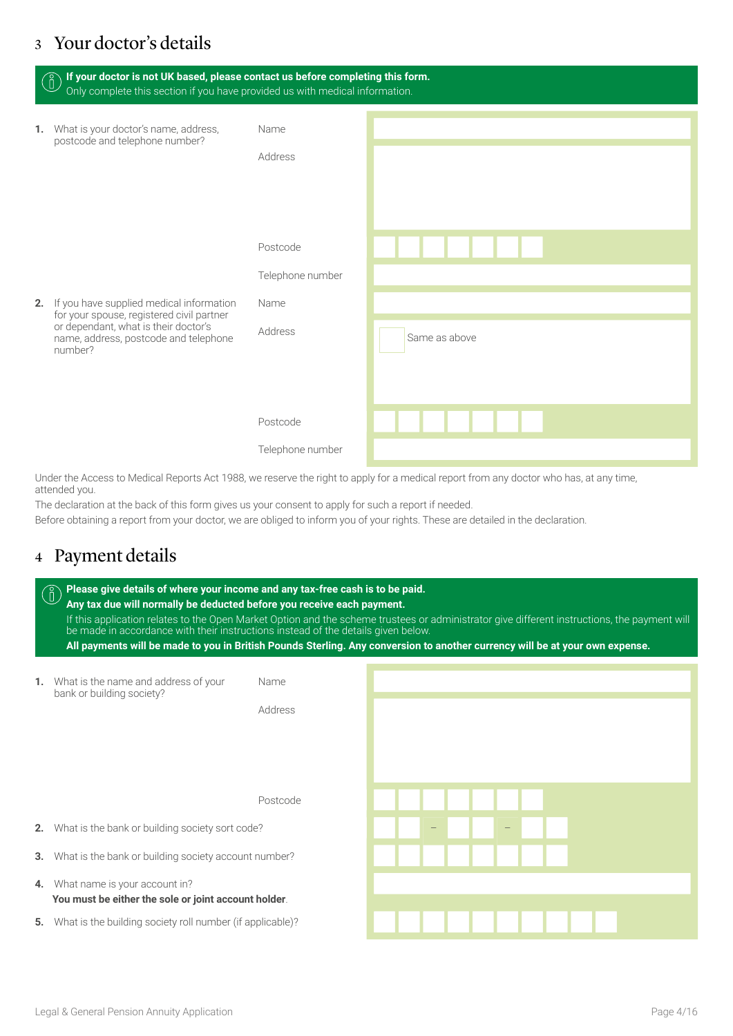### 3 Your doctor's details

| If your doctor is not UK based, please contact us before completing this form.<br>$\begin{matrix} 0 \ 0 \end{matrix}$<br>Only complete this section if you have provided us with medical information. |                                                 |               |
|-------------------------------------------------------------------------------------------------------------------------------------------------------------------------------------------------------|-------------------------------------------------|---------------|
| 1. What is your doctor's name, address,<br>postcode and telephone number?                                                                                                                             | Name<br>Address                                 |               |
| 2. If you have supplied medical information<br>for your spouse, registered civil partner<br>or dependant, what is their doctor's<br>name, address, postcode and telephone<br>number?                  | Postcode<br>Telephone number<br>Name<br>Address | Same as above |
|                                                                                                                                                                                                       | Postcode<br>Telephone number                    |               |

Under the Access to Medical Reports Act 1988, we reserve the right to apply for a medical report from any doctor who has, at any time, attended you.

The declaration at the back of this form gives us your consent to apply for such a report if needed.

Before obtaining a report from your doctor, we are obliged to inform you of your rights. These are detailed in the declaration.

### 4 Payment details

|    | Please give details of where your income and any tax-free cash is to be paid.<br>Any tax due will normally be deducted before you receive each payment.<br>If this application relates to the Open Market Option and the scheme trustees or administrator give different instructions, the payment will<br>be made in accordance with their instructions instead of the details given below.<br>All payments will be made to you in British Pounds Sterling. Any conversion to another currency will be at your own expense. |                 |  |  |  |  |  |
|----|------------------------------------------------------------------------------------------------------------------------------------------------------------------------------------------------------------------------------------------------------------------------------------------------------------------------------------------------------------------------------------------------------------------------------------------------------------------------------------------------------------------------------|-----------------|--|--|--|--|--|
| 1. | What is the name and address of your<br>bank or building society?                                                                                                                                                                                                                                                                                                                                                                                                                                                            | Name<br>Address |  |  |  |  |  |
|    |                                                                                                                                                                                                                                                                                                                                                                                                                                                                                                                              | Postcode        |  |  |  |  |  |
| 2. | What is the bank or building society sort code?                                                                                                                                                                                                                                                                                                                                                                                                                                                                              |                 |  |  |  |  |  |
| 3. | What is the bank or building society account number?                                                                                                                                                                                                                                                                                                                                                                                                                                                                         |                 |  |  |  |  |  |
| 4. | What name is your account in?<br>You must be either the sole or joint account holder.                                                                                                                                                                                                                                                                                                                                                                                                                                        |                 |  |  |  |  |  |
| 5. | What is the building society roll number (if applicable)?                                                                                                                                                                                                                                                                                                                                                                                                                                                                    |                 |  |  |  |  |  |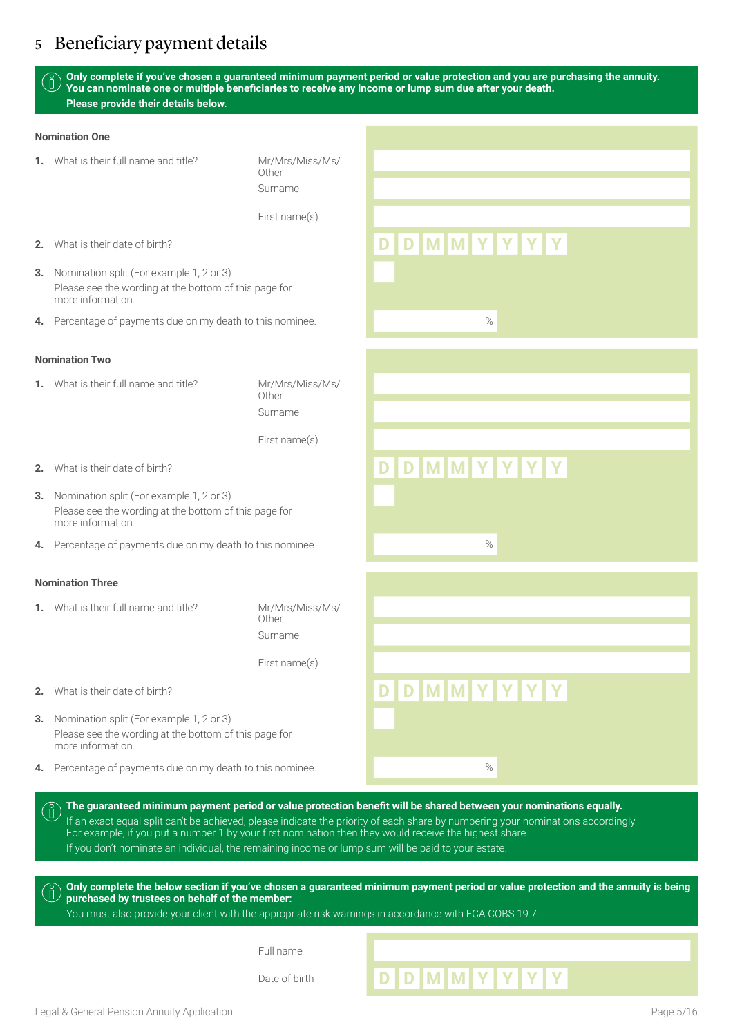### 5 Beneficiary payment details

**Only complete if you've chosen a guaranteed minimum payment period or value protection and you are purchasing the annuity. You can nominate one or multiple beneficiaries to receive any income or lump sum due after your death. Please provide their details below.** 

#### **Nomination One**

**1.** What is their full name and title? Mr/Mrs/Miss/Ms/

Other Surname

First name(s)

- **2.** What is their date of birth? **D D M M Y Y Y Y**
- **3.** Nomination split (For example 1, 2 or 3) Please see the wording at the bottom of this page for more information.
- **4.** Percentage of payments due on my death to this nominee.

#### **Nomination Two**

**1.** What is their full name and title? Mr/Mrs/Miss/Ms/

Other Surname

First name(s)

- **2.** What is their date of birth? **D D M M Y Y Y Y**
- **3.** Nomination split (For example 1, 2 or 3) Please see the wording at the bottom of this page for more information.
- **4.** Percentage of payments due on my death to this nominee.

#### **Nomination Three**

ň.

**1.** What is their full name and title? Mr/Mrs/Miss/Ms/

Other Surname

First name(s)

- **2.** What is their date of birth? **D D M M Y Y Y Y**
- **3.** Nomination split (For example 1, 2 or 3) Please see the wording at the bottom of this page for more information.
- **4.** Percentage of payments due on my death to this nominee.

| The quaranteed minimum payment period or value protection benefit will be shared between your nominations equally.                                                                                                                         |  |
|--------------------------------------------------------------------------------------------------------------------------------------------------------------------------------------------------------------------------------------------|--|
| If an exact equal split can't be achieved, please indicate the priority of each share by numbering your nominations accordingly.<br>For example, if you put a number 1 by your first nomination then they would receive the highest share. |  |
| If you don't nominate an individual, the remaining income or lump sum will be paid to your estate.                                                                                                                                         |  |

**Only complete the below section if you've chosen a guaranteed minimum payment period or value protection and the annuity is being purchased by trustees on behalf of the member:**

You must also provide your client with the appropriate risk warnings in accordance with FCA COBS 19.7.

Full name

# Date of birth **DDDMMYYYY**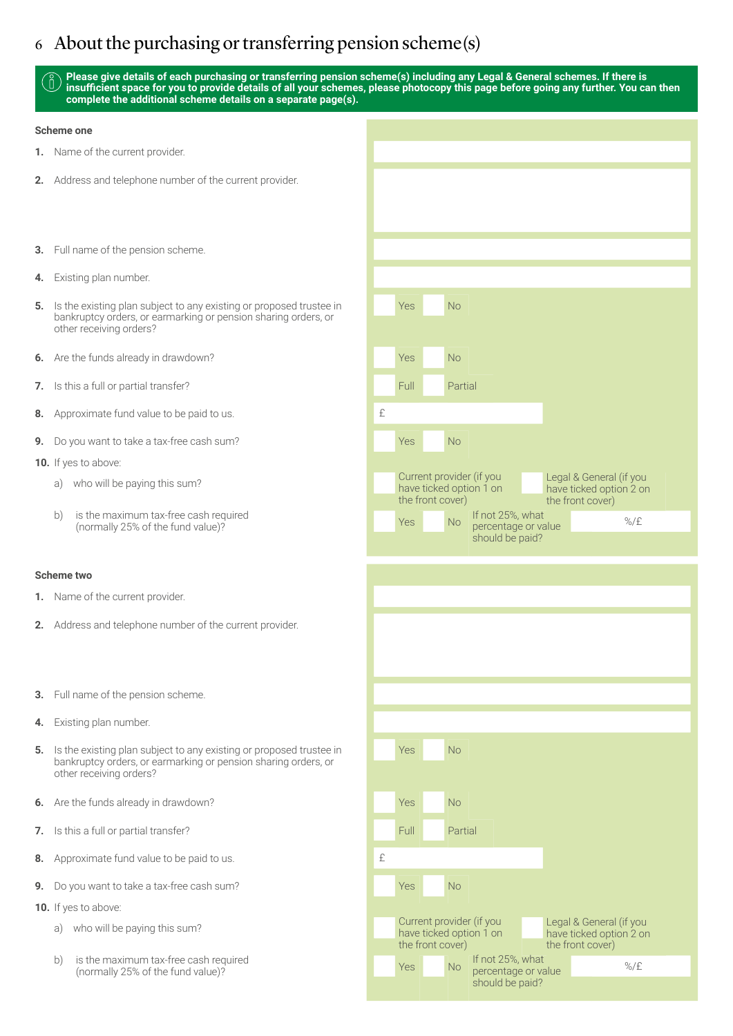### 6 About the purchasing or transferring pension scheme(s)

#### **Please give details of each purchasing or transferring pension scheme(s) including any Legal & General schemes. If there is insufficient space for you to provide details of all your schemes, please photocopy this page before going any further. You can then complete the additional scheme details on a separate page(s).**

#### **Scheme one**

- **1.** Name of the current provider.
- **2.** Address and telephone number of the current provider.
- **3.** Full name of the pension scheme.
- **4.** Existing plan number.
- **5.** Is the existing plan subject to any existing or proposed trustee in bankruptcy orders, or earmarking or pension sharing orders, or other receiving orders?
- **6.** Are the funds already in drawdown?
- **7.** Is this a full or partial transfer?
- **8.** Approximate fund value to be paid to us.
- **9.** Do you want to take a tax-free cash sum?
- **10.** If yes to above:
	- a) who will be paying this sum?
	- b) is the maximum tax-free cash required (a) a set of the fund value)?<br>(normally 25% of the fund value)?

#### **Scheme two**

- **1.** Name of the current provider.
- **2.** Address and telephone number of the current provider.
- **3.** Full name of the pension scheme.
- **4.** Existing plan number.
- **5.** Is the existing plan subject to any existing or proposed trustee in bankruptcy orders, or earmarking or pension sharing orders, or other receiving orders?
- **6.** Are the funds already in drawdown?
- **7.** Is this a full or partial transfer?
- **8.** Approximate fund value to be paid to us.
- **9.** Do you want to take a tax-free cash sum? Yes No
- **10.** If yes to above:
	- a) who will be paying this sum?
	- b) is the maximum tax-free cash required (a) the set of the set of the fund value)?<br>The function of the fund value)? West the fund value of value of value of value of value of value of value of

| Yes         | <b>No</b>                                                                                                                                         |
|-------------|---------------------------------------------------------------------------------------------------------------------------------------------------|
|             |                                                                                                                                                   |
| Yes<br>Full | <b>No</b><br>Partial                                                                                                                              |
| £           |                                                                                                                                                   |
| Yes         | <b>No</b>                                                                                                                                         |
|             | Current provider (if you<br>Legal & General (if you<br>have ticked option 1 on<br>the front cover)<br>have ticked option 2 on<br>the front cover) |
| Yes         | If not 25%, what<br><b>No</b><br>$\%$ /£<br>percentage or value<br>should be paid?                                                                |
|             |                                                                                                                                                   |
|             |                                                                                                                                                   |
|             |                                                                                                                                                   |
|             |                                                                                                                                                   |
|             |                                                                                                                                                   |
| Yes         | No                                                                                                                                                |
| Yes         | No                                                                                                                                                |
|             |                                                                                                                                                   |

have ticked option 1 on Legal & General (if you have ticked option 2 on the front cover)

%/£

percentage or value should be paid?

the front cover)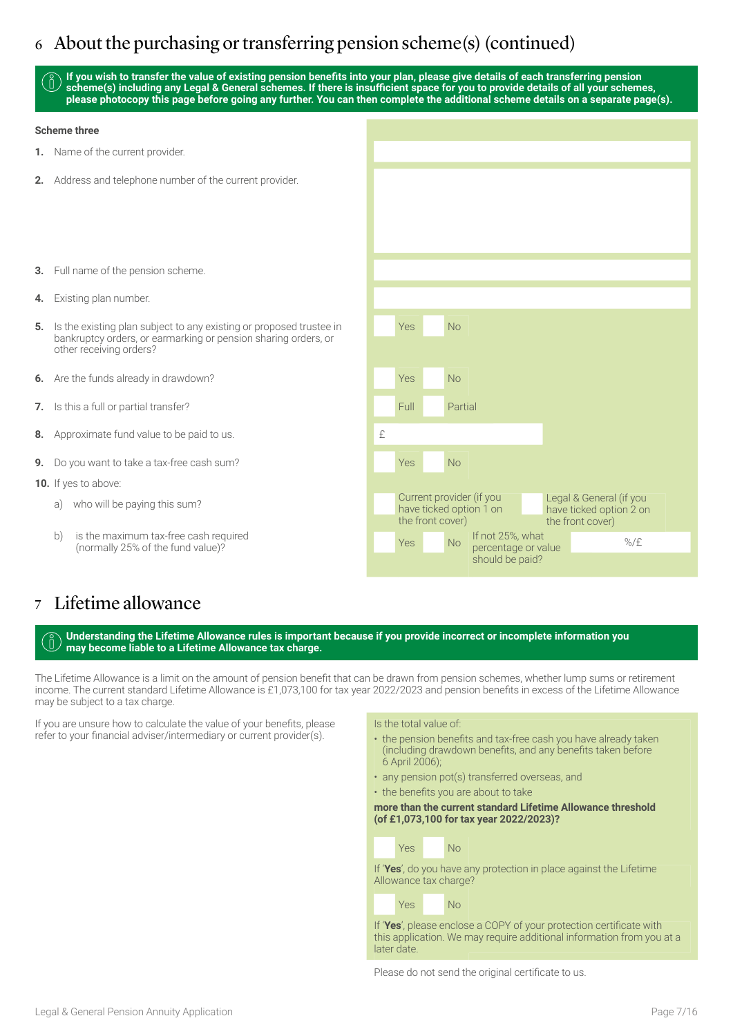### 6 About the purchasing or transferring pension scheme(s) (continued)

**If you wish to transfer the value of existing pension benefits into your plan, please give details of each transferring pension scheme(s) including any Legal & General schemes. If there is insufficient space for you to provide details of all your schemes, please photocopy this page before going any further. You can then complete the additional scheme details on a separate page(s).**

#### **Scheme three**

- **1.** Name of the current provider.
- **2.** Address and telephone number of the current provider.
- **3.** Full name of the pension scheme.
- **4.** Existing plan number.
- **5.** Is the existing plan subject to any existing or proposed trustee in bankruptcy orders, or earmarking or pension sharing orders, or other receiving orders?
- **6.** Are the funds already in drawdown?
- **7.** Is this a full or partial transfer?
- **8.** Approximate fund value to be paid to us.
- **9.** Do you want to take a tax-free cash sum?
- **10.** If yes to above:
	- a) who will be paying this sum?
	- b) is the maximum tax-free cash required (normally 25% of the fund value)?

| Yes<br><b>No</b><br>Yes<br><b>No</b><br>Full<br>Partial<br>£<br>Yes<br><b>No</b>                                                                  |  |  |  |
|---------------------------------------------------------------------------------------------------------------------------------------------------|--|--|--|
|                                                                                                                                                   |  |  |  |
|                                                                                                                                                   |  |  |  |
|                                                                                                                                                   |  |  |  |
|                                                                                                                                                   |  |  |  |
|                                                                                                                                                   |  |  |  |
|                                                                                                                                                   |  |  |  |
|                                                                                                                                                   |  |  |  |
|                                                                                                                                                   |  |  |  |
|                                                                                                                                                   |  |  |  |
|                                                                                                                                                   |  |  |  |
|                                                                                                                                                   |  |  |  |
|                                                                                                                                                   |  |  |  |
| Current provider (if you<br>Legal & General (if you<br>have ticked option 1 on<br>have ticked option 2 on<br>the front cover)<br>the front cover) |  |  |  |
| If not 25%, what<br>$\%$ /£<br>Yes<br><b>No</b><br>percentage or value<br>should be paid?                                                         |  |  |  |

### 7 Lifetime allowance

**Understanding the Lifetime Allowance rules is important because if you provide incorrect or incomplete information you may become liable to a Lifetime Allowance tax charge.**

The Lifetime Allowance is a limit on the amount of pension benefit that can be drawn from pension schemes, whether lump sums or retirement income. The current standard Lifetime Allowance is £1,073,100 for tax year 2022/2023 and pension benefits in excess of the Lifetime Allowance may be subject to a tax charge.

If you are unsure how to calculate the value of your benefits, please refer to your financial adviser/intermediary or current provider(s).

#### Is the total value of:

- the pension benefits and tax-free cash you have already taken (including drawdown benefits, and any benefits taken before 6 April 2006);
- any pension pot(s) transferred overseas, and
- the benefits you are about to take

#### **more than the current standard Lifetime Allowance threshold (of £1,073,100 for tax year 2022/2023)?**



If '**Yes**', do you have any protection in place against the Lifetime Allowance tax charge?



If '**Yes**', please enclose a COPY of your protection certificate with this application. We may require additional information from you at a later date.

Please do not send the original certificate to us.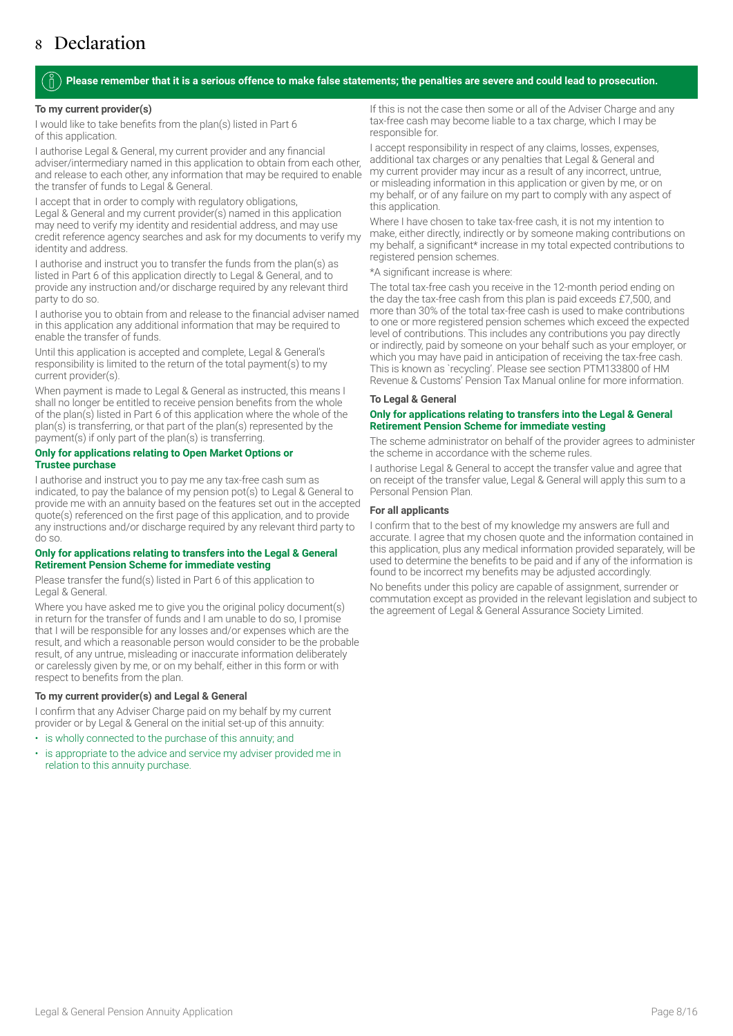### 8 Declaration

#### **Please remember that it is a serious offence to make false statements; the penalties are severe and could lead to prosecution.**

#### **To my current provider(s)**

I would like to take benefits from the plan(s) listed in Part 6 of this application.

I authorise Legal & General, my current provider and any financial adviser/intermediary named in this application to obtain from each other, and release to each other, any information that may be required to enable the transfer of funds to Legal & General.

I accept that in order to comply with regulatory obligations, Legal & General and my current provider(s) named in this application may need to verify my identity and residential address, and may use credit reference agency searches and ask for my documents to verify my identity and address.

I authorise and instruct you to transfer the funds from the plan(s) as listed in Part 6 of this application directly to Legal & General, and to provide any instruction and/or discharge required by any relevant third party to do so.

I authorise you to obtain from and release to the financial adviser named in this application any additional information that may be required to enable the transfer of funds.

Until this application is accepted and complete, Legal & General's responsibility is limited to the return of the total payment(s) to my current provider(s).

When payment is made to Legal & General as instructed, this means I shall no longer be entitled to receive pension benefits from the whole of the plan(s) listed in Part 6 of this application where the whole of the plan(s) is transferring, or that part of the plan(s) represented by the payment(s) if only part of the plan(s) is transferring.

#### **Only for applications relating to Open Market Options or Trustee purchase**

I authorise and instruct you to pay me any tax-free cash sum as indicated, to pay the balance of my pension pot(s) to Legal & General to provide me with an annuity based on the features set out in the accepted quote(s) referenced on the first page of this application, and to provide any instructions and/or discharge required by any relevant third party to do so.

#### **Only for applications relating to transfers into the Legal & General Retirement Pension Scheme for immediate vesting**

Please transfer the fund(s) listed in Part 6 of this application to Legal & General.

Where you have asked me to give you the original policy document(s) in return for the transfer of funds and I am unable to do so, I promise that I will be responsible for any losses and/or expenses which are the result, and which a reasonable person would consider to be the probable result, of any untrue, misleading or inaccurate information deliberately or carelessly given by me, or on my behalf, either in this form or with respect to benefits from the plan.

#### **To my current provider(s) and Legal & General**

I confirm that any Adviser Charge paid on my behalf by my current provider or by Legal & General on the initial set-up of this annuity:

- is wholly connected to the purchase of this annuity; and
- is appropriate to the advice and service my adviser provided me in relation to this annuity purchase.

If this is not the case then some or all of the Adviser Charge and any tax-free cash may become liable to a tax charge, which I may be responsible for.

I accept responsibility in respect of any claims, losses, expenses, additional tax charges or any penalties that Legal & General and my current provider may incur as a result of any incorrect, untrue, or misleading information in this application or given by me, or on my behalf, or of any failure on my part to comply with any aspect of this application.

Where I have chosen to take tax-free cash, it is not my intention to make, either directly, indirectly or by someone making contributions on my behalf, a significant\* increase in my total expected contributions to registered pension schemes.

\*A significant increase is where:

The total tax-free cash you receive in the 12-month period ending on the day the tax-free cash from this plan is paid exceeds £7,500, and more than 30% of the total tax-free cash is used to make contributions to one or more registered pension schemes which exceed the expected level of contributions. This includes any contributions you pay directly or indirectly, paid by someone on your behalf such as your employer, or which you may have paid in anticipation of receiving the tax-free cash. This is known as `recycling'. Please see section PTM133800 of HM Revenue & Customs' Pension Tax Manual online for more information.

#### **To Legal & General**

#### **Only for applications relating to transfers into the Legal & General Retirement Pension Scheme for immediate vesting**

The scheme administrator on behalf of the provider agrees to administer the scheme in accordance with the scheme rules.

I authorise Legal & General to accept the transfer value and agree that on receipt of the transfer value, Legal & General will apply this sum to a Personal Pension Plan.

#### **For all applicants**

I confirm that to the best of my knowledge my answers are full and accurate. I agree that my chosen quote and the information contained in this application, plus any medical information provided separately, will be used to determine the benefits to be paid and if any of the information is found to be incorrect my benefits may be adjusted accordingly.

No benefits under this policy are capable of assignment, surrender or commutation except as provided in the relevant legislation and subject to the agreement of Legal & General Assurance Society Limited.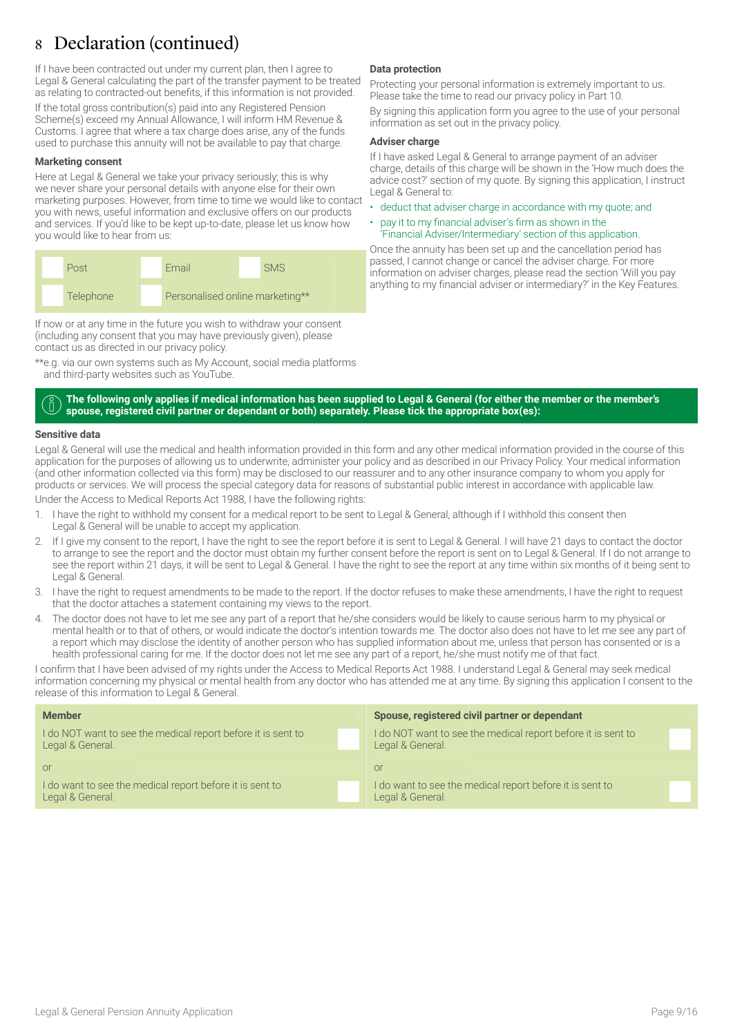### 8 Declaration (continued)

If I have been contracted out under my current plan, then I agree to Legal & General calculating the part of the transfer payment to be treated as relating to contracted-out benefits, if this information is not provided. If the total gross contribution(s) paid into any Registered Pension Scheme(s) exceed my Annual Allowance, I will inform HM Revenue & Customs. I agree that where a tax charge does arise, any of the funds used to purchase this annuity will not be available to pay that charge.

#### **Marketing consent**

Here at Legal & General we take your privacy seriously; this is why we never share your personal details with anyone else for their own marketing purposes. However, from time to time we would like to contact you with news, useful information and exclusive offers on our products and services. If you'd like to be kept up-to-date, please let us know how you would like to hear from us:



If now or at any time in the future you wish to withdraw your consent (including any consent that you may have previously given), please contact us as directed in our privacy policy.

\*\*e.g. via our own systems such as My Account, social media platforms and third-party websites such as YouTube.

#### **Data protection**

Protecting your personal information is extremely important to us. Please take the time to read our privacy policy in Part 10.

By signing this application form you agree to the use of your personal information as set out in the privacy policy.

#### **Adviser charge**

If I have asked Legal & General to arrange payment of an adviser charge, details of this charge will be shown in the 'How much does the advice cost?' section of my quote. By signing this application, I instruct Legal & General to:

- deduct that adviser charge in accordance with my quote; and
- pay it to my financial adviser's firm as shown in the 'Financial Adviser/Intermediary' section of this application.

Once the annuity has been set up and the cancellation period has passed, I cannot change or cancel the adviser charge. For more information on adviser charges, please read the section 'Will you pay anything to my financial adviser or intermediary?' in the Key Features.

#### **The following only applies if medical information has been supplied to Legal & General (for either the member or the member's**  ň **spouse, registered civil partner or dependant or both) separately. Please tick the appropriate box(es):**

#### **Sensitive data**

Legal & General will use the medical and health information provided in this form and any other medical information provided in the course of this application for the purposes of allowing us to underwrite, administer your policy and as described in our Privacy Policy. Your medical information (and other information collected via this form) may be disclosed to our reassurer and to any other insurance company to whom you apply for products or services. We will process the special category data for reasons of substantial public interest in accordance with applicable law.

Under the Access to Medical Reports Act 1988, I have the following rights:

- 1. I have the right to withhold my consent for a medical report to be sent to Legal & General, although if I withhold this consent then Legal & General will be unable to accept my application.
- 2. If I give my consent to the report, I have the right to see the report before it is sent to Legal & General. I will have 21 days to contact the doctor to arrange to see the report and the doctor must obtain my further consent before the report is sent on to Legal & General. If I do not arrange to see the report within 21 days, it will be sent to Legal & General. I have the right to see the report at any time within six months of it being sent to Legal & General.
- 3. I have the right to request amendments to be made to the report. If the doctor refuses to make these amendments, I have the right to request that the doctor attaches a statement containing my views to the report.
- 4. The doctor does not have to let me see any part of a report that he/she considers would be likely to cause serious harm to my physical or mental health or to that of others, or would indicate the doctor's intention towards me. The doctor also does not have to let me see any part of a report which may disclose the identity of another person who has supplied information about me, unless that person has consented or is a health professional caring for me. If the doctor does not let me see any part of a report, he/she must notify me of that fact.

I confirm that I have been advised of my rights under the Access to Medical Reports Act 1988. I understand Legal & General may seek medical information concerning my physical or mental health from any doctor who has attended me at any time. By signing this application I consent to the release of this information to Legal & General.

| <b>Member</b>                                                | Spouse, registered civil partner or dependant                |
|--------------------------------------------------------------|--------------------------------------------------------------|
| I do NOT want to see the medical report before it is sent to | I do NOT want to see the medical report before it is sent to |
| Legal & General.                                             | Legal & General.                                             |
| <sub>or</sub>                                                | or                                                           |
| I do want to see the medical report before it is sent to     | I do want to see the medical report before it is sent to     |
| Legal & General.                                             | Legal & General.                                             |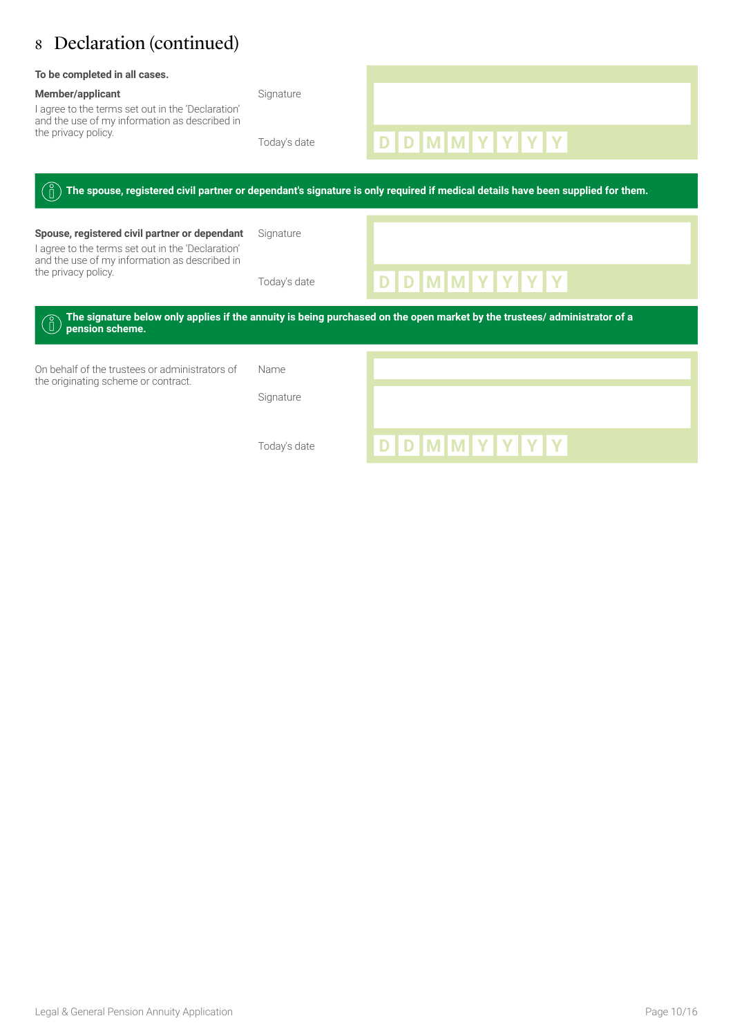### 8 Declaration (continued)

| To be completed in all cases.<br><b>Member/applicant</b><br>I agree to the terms set out in the 'Declaration'<br>and the use of my information as described in<br>the privacy policy. | Signature                 |                                                                                                                                                   |
|---------------------------------------------------------------------------------------------------------------------------------------------------------------------------------------|---------------------------|---------------------------------------------------------------------------------------------------------------------------------------------------|
|                                                                                                                                                                                       | Today's date              | D D M M Y Y Y Y<br>The spouse, registered civil partner or dependant's signature is only required if medical details have been supplied for them. |
| Spouse, registered civil partner or dependant<br>I agree to the terms set out in the 'Declaration'<br>and the use of my information as described in<br>the privacy policy.            | Signature<br>Today's date | D D M M Y Y Y Y                                                                                                                                   |
| pension scheme.                                                                                                                                                                       |                           | The signature below only applies if the annuity is being purchased on the open market by the trustees/administrator of a                          |
| On behalf of the trustees or administrators of<br>the originating scheme or contract.                                                                                                 | Name<br>Signature         |                                                                                                                                                   |
|                                                                                                                                                                                       | Today's date              | D D M M Y Y Y Y                                                                                                                                   |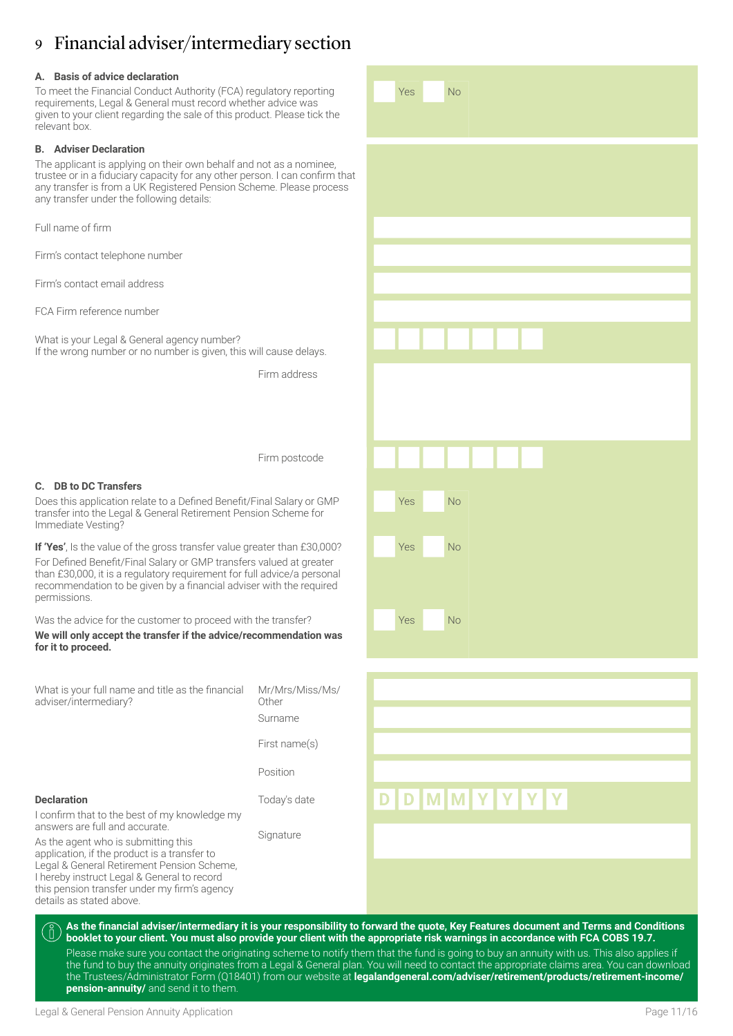### 9 Financial adviser/intermediary section

#### **A. Basis of advice declaration**

To meet the Financial Conduct Authority (FCA) regulatory reporting requirements, Legal & General must record whether advice was given to your client regarding the sale of this product. Please tick the relevant box.

#### **B. Adviser Declaration**

The applicant is applying on their own behalf and not as a nominee, trustee or in a fiduciary capacity for any other person. I can confirm that any transfer is from a UK Registered Pension Scheme. Please process any transfer under the following details:

Full name of firm

Firm's contact telephone number

Firm's contact email address

FCA Firm reference number

What is your Legal & General agency number? If the wrong number or no number is given, this will cause delays.

Firm address

Yes No

Yes No

Yes No

Yes No

Firm postcode

#### **C. DB to DC Transfers**

**Declaration**

Does this application relate to a Defined Benefit/Final Salary or GMP transfer into the Legal & General Retirement Pension Scheme for Immediate Vesting?

**If 'Yes'**, Is the value of the gross transfer value greater than £30,000? For Defined Benefit/Final Salary or GMP transfers valued at greater than £30,000, it is a regulatory requirement for full advice/a personal recommendation to be given by a financial adviser with the required permissions.

Was the advice for the customer to proceed with the transfer? **We will only accept the transfer if the advice/recommendation was for it to proceed.** 

What is your full name and title as the financial adviser/intermediary? Mr/Mrs/Miss/Ms/ **Other** 

Surname

First name(s)

Position

I confirm that to the best of my knowledge my answers are full and accurate. **Signature** 

As the agent who is submitting this application, if the product is a transfer to Legal & General Retirement Pension Scheme, I hereby instruct Legal & General to record this pension transfer under my firm's agency details as stated above.



**As the financial adviser/intermediary it is your responsibility to forward the quote, Key Features document and Terms and Conditions booklet to your client. You must also provide your client with the appropriate risk warnings in accordance with FCA COBS 19.7.** Please make sure you contact the originating scheme to notify them that the fund is going to buy an annuity with us. This also applies if the fund to buy the annuity originates from a Legal & General plan. You will need to contact the appropriate claims area. You can download the Trustees/Administrator Form (Q18401) from our website at **[legalandgeneral.com/adviser/retirement/products/retirement-income/](http://legalandgeneral.com/adviser/retirement/products/retirement-income/pension-annuity/ ) [pension-annuity/](http://legalandgeneral.com/adviser/retirement/products/retirement-income/pension-annuity/ )** and send it to them.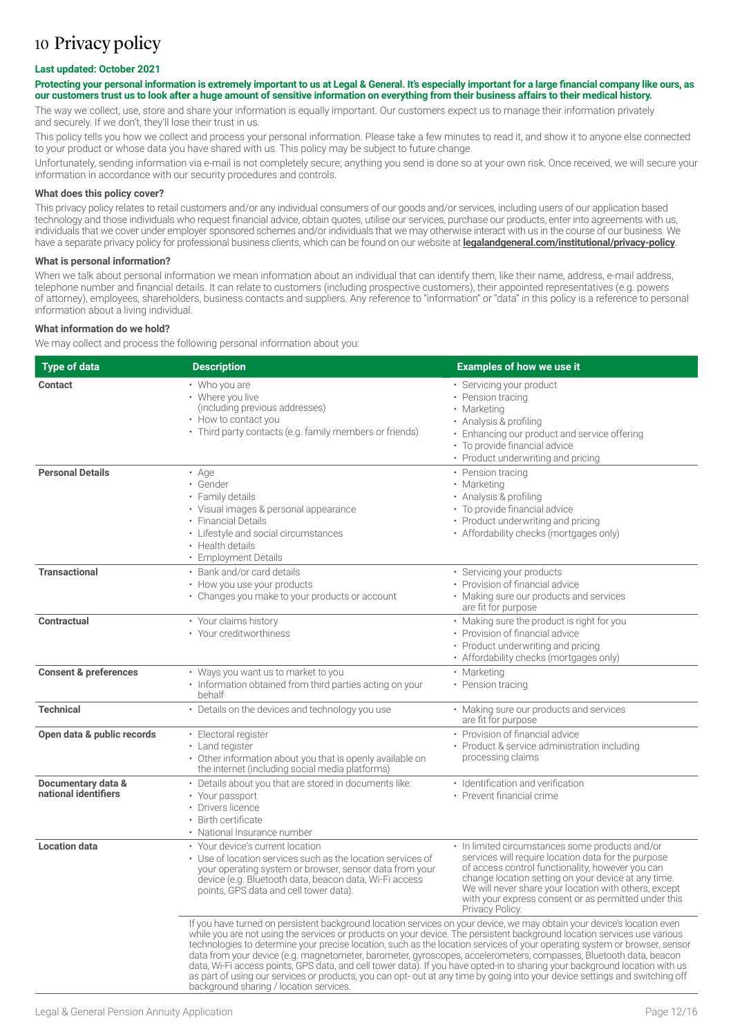### 10 Privacy policy

#### **Last updated: October 2021**

#### **Protecting your personal information is extremely important to us at Legal & General. It's especially important for a large financial company like ours, as our customers trust us to look after a huge amount of sensitive information on everything from their business affairs to their medical history.**

The way we collect, use, store and share your information is equally important. Our customers expect us to manage their information privately and securely. If we don't, they'll lose their trust in us.

This policy tells you how we collect and process your personal information. Please take a few minutes to read it, and show it to anyone else connected to your product or whose data you have shared with us. This policy may be subject to future change.

Unfortunately, sending information via e-mail is not completely secure; anything you send is done so at your own risk. Once received, we will secure your information in accordance with our security procedures and controls.

#### **What does this policy cover?**

This privacy policy relates to retail customers and/or any individual consumers of our goods and/or services, including users of our application based technology and those individuals who request financial advice, obtain quotes, utilise our services, purchase our products, enter into agreements with us, individuals that we cover under employer sponsored schemes and/or individuals that we may otherwise interact with us in the course of our business. We have a separate privacy policy for professional business clients, which can be found on our website at **[legalandgeneral.com/institutional/privacy-policy](http://legalandgeneral.com/institutional/privacy-policy)**.

#### **What is personal information?**

When we talk about personal information we mean information about an individual that can identify them, like their name, address, e-mail address, telephone number and financial details. It can relate to customers (including prospective customers), their appointed representatives (e.g. powers of attorney), employees, shareholders, business contacts and suppliers. Any reference to "information" or "data" in this policy is a reference to personal information about a living individual.

#### **What information do we hold?**

We may collect and process the following personal information about you:

| <b>Type of data</b>                        | <b>Description</b>                                                                                                                                                                                                                                                                                                                                                                                                                                                                                                                                                                                                                                                                                                                                                                                                | <b>Examples of how we use it</b>                                                                                                                                                                                                                                                                                                                      |
|--------------------------------------------|-------------------------------------------------------------------------------------------------------------------------------------------------------------------------------------------------------------------------------------------------------------------------------------------------------------------------------------------------------------------------------------------------------------------------------------------------------------------------------------------------------------------------------------------------------------------------------------------------------------------------------------------------------------------------------------------------------------------------------------------------------------------------------------------------------------------|-------------------------------------------------------------------------------------------------------------------------------------------------------------------------------------------------------------------------------------------------------------------------------------------------------------------------------------------------------|
| <b>Contact</b>                             | • Who you are<br>• Where you live<br>(including previous addresses)<br>• How to contact you<br>• Third party contacts (e.g. family members or friends)                                                                                                                                                                                                                                                                                                                                                                                                                                                                                                                                                                                                                                                            | • Servicing your product<br>• Pension tracing<br>• Marketing<br>• Analysis & profiling<br>• Enhancing our product and service offering<br>• To provide financial advice<br>• Product underwriting and pricing                                                                                                                                         |
| <b>Personal Details</b>                    | • Age<br>· Gender<br>• Family details<br>• Visual images & personal appearance<br>• Financial Details<br>• Lifestyle and social circumstances<br>• Health details<br>• Employment Details                                                                                                                                                                                                                                                                                                                                                                                                                                                                                                                                                                                                                         | • Pension tracing<br>• Marketing<br>• Analysis & profiling<br>• To provide financial advice<br>• Product underwriting and pricing<br>• Affordability checks (mortgages only)                                                                                                                                                                          |
| <b>Transactional</b>                       | • Bank and/or card details<br>• How you use your products<br>• Changes you make to your products or account                                                                                                                                                                                                                                                                                                                                                                                                                                                                                                                                                                                                                                                                                                       | · Servicing your products<br>• Provision of financial advice<br>• Making sure our products and services<br>are fit for purpose                                                                                                                                                                                                                        |
| <b>Contractual</b>                         | • Your claims history<br>• Your creditworthiness                                                                                                                                                                                                                                                                                                                                                                                                                                                                                                                                                                                                                                                                                                                                                                  | • Making sure the product is right for you<br>• Provision of financial advice<br>• Product underwriting and pricing<br>• Affordability checks (mortgages only)                                                                                                                                                                                        |
| <b>Consent &amp; preferences</b>           | • Ways you want us to market to you<br>• Information obtained from third parties acting on your<br>behalf                                                                                                                                                                                                                                                                                                                                                                                                                                                                                                                                                                                                                                                                                                         | • Marketing<br>• Pension tracing                                                                                                                                                                                                                                                                                                                      |
| <b>Technical</b>                           | • Details on the devices and technology you use                                                                                                                                                                                                                                                                                                                                                                                                                                                                                                                                                                                                                                                                                                                                                                   | • Making sure our products and services<br>are fit for purpose                                                                                                                                                                                                                                                                                        |
| Open data & public records                 | · Electoral register<br>• Land register<br>• Other information about you that is openly available on<br>the internet (including social media platforms)                                                                                                                                                                                                                                                                                                                                                                                                                                                                                                                                                                                                                                                           | • Provision of financial advice<br>• Product & service administration including<br>processing claims                                                                                                                                                                                                                                                  |
| Documentary data &<br>national identifiers | • Details about you that are stored in documents like:<br>• Your passport<br>Drivers licence<br>• Birth certificate<br>• National Insurance number                                                                                                                                                                                                                                                                                                                                                                                                                                                                                                                                                                                                                                                                | • Identification and verification<br>• Prevent financial crime                                                                                                                                                                                                                                                                                        |
| <b>Location data</b>                       | • Your device's current location<br>• Use of location services such as the location services of<br>your operating system or browser, sensor data from your<br>device (e.g. Bluetooth data, beacon data, Wi-Fi access<br>points, GPS data and cell tower data).                                                                                                                                                                                                                                                                                                                                                                                                                                                                                                                                                    | • In limited circumstances some products and/or<br>services will require location data for the purpose<br>of access control functionality, however you can<br>change location setting on your device at any time.<br>We will never share your location with others, except<br>with your express consent or as permitted under this<br>Privacy Policy. |
|                                            | If you have turned on persistent background location services on your device, we may obtain your device's location even<br>while you are not using the services or products on your device. The persistent background location services use various<br>technologies to determine your precise location, such as the location services of your operating system or browser, sensor<br>data from your device (e.g. magnetometer, barometer, gyroscopes, accelerometers, compasses, Bluetooth data, beacon<br>data, Wi-Fi access points, GPS data, and cell tower data). If you have opted-in to sharing your background location with us<br>as part of using our services or products, you can opt- out at any time by going into your device settings and switching off<br>background sharing / location services. |                                                                                                                                                                                                                                                                                                                                                       |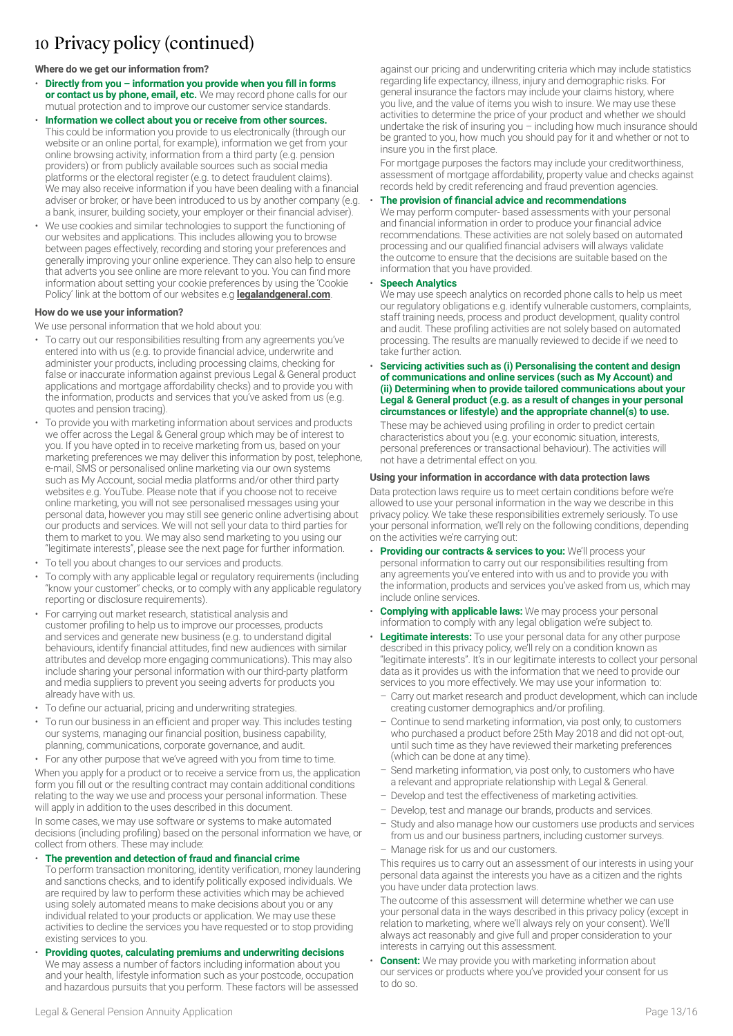### 10 Privacy policy (continued)

#### **Where do we get our information from?**

- **Directly from you information you provide when you fill in forms or contact us by phone, email, etc.** We may record phone calls for our mutual protection and to improve our customer service standards.
- **Information we collect about you or receive from other sources.** This could be information you provide to us electronically (through our website or an online portal, for example), information we get from your online browsing activity, information from a third party (e.g. pension providers) or from publicly available sources such as social media platforms or the electoral register (e.g. to detect fraudulent claims). We may also receive information if you have been dealing with a financial adviser or broker, or have been introduced to us by another company (e.g. a bank, insurer, building society, your employer or their financial adviser).
- We use cookies and similar technologies to support the functioning of our websites and applications. This includes allowing you to browse between pages effectively, recording and storing your preferences and generally improving your online experience. They can also help to ensure that adverts you see online are more relevant to you. You can find more information about setting your cookie preferences by using the 'Cookie Policy' link at the bottom of our websites e.g **[legalandgeneral.com](http://legalandgeneral.com/privacy-policy/cookies/)**.

#### **How do we use your information?**

We use personal information that we hold about you:

- To carry out our responsibilities resulting from any agreements you've entered into with us (e.g. to provide financial advice, underwrite and administer your products, including processing claims, checking for false or inaccurate information against previous Legal & General product applications and mortgage affordability checks) and to provide you with the information, products and services that you've asked from us (e.g. quotes and pension tracing).
- To provide you with marketing information about services and products we offer across the Legal & General group which may be of interest to you. If you have opted in to receive marketing from us, based on your marketing preferences we may deliver this information by post, telephone, e-mail, SMS or personalised online marketing via our own systems such as My Account, social media platforms and/or other third party websites e.g. YouTube. Please note that if you choose not to receive online marketing, you will not see personalised messages using your personal data, however you may still see generic online advertising about our products and services. We will not sell your data to third parties for them to market to you. We may also send marketing to you using our "legitimate interests", please see the next page for further information.
- To tell you about changes to our services and products.
- To comply with any applicable legal or regulatory requirements (including "know your customer" checks, or to comply with any applicable regulatory reporting or disclosure requirements).
- For carrying out market research, statistical analysis and customer profiling to help us to improve our processes, products and services and generate new business (e.g. to understand digital behaviours, identify financial attitudes, find new audiences with similar attributes and develop more engaging communications). This may also include sharing your personal information with our third-party platform and media suppliers to prevent you seeing adverts for products you already have with us.
- To define our actuarial, pricing and underwriting strategies.
- To run our business in an efficient and proper way. This includes testing our systems, managing our financial position, business capability, planning, communications, corporate governance, and audit.
- For any other purpose that we've agreed with you from time to time. When you apply for a product or to receive a service from us, the application form you fill out or the resulting contract may contain additional conditions relating to the way we use and process your personal information. These

will apply in addition to the uses described in this document. In some cases, we may use software or systems to make automated

decisions (including profiling) based on the personal information we have, or collect from others. These may include:

#### • **The prevention and detection of fraud and financial crime**

- To perform transaction monitoring, identity verification, money laundering and sanctions checks, and to identify politically exposed individuals. We are required by law to perform these activities which may be achieved using solely automated means to make decisions about you or any individual related to your products or application. We may use these activities to decline the services you have requested or to stop providing existing services to you.
- **Providing quotes, calculating premiums and underwriting decisions** We may assess a number of factors including information about you and your health, lifestyle information such as your postcode, occupation and hazardous pursuits that you perform. These factors will be assessed

against our pricing and underwriting criteria which may include statistics regarding life expectancy, illness, injury and demographic risks. For general insurance the factors may include your claims history, where you live, and the value of items you wish to insure. We may use these activities to determine the price of your product and whether we should undertake the risk of insuring you – including how much insurance should be granted to you, how much you should pay for it and whether or not to insure you in the first place.

For mortgage purposes the factors may include your creditworthiness, assessment of mortgage affordability, property value and checks against records held by credit referencing and fraud prevention agencies.

#### • **The provision of financial advice and recommendations**

We may perform computer- based assessments with your personal and financial information in order to produce your financial advice recommendations. These activities are not solely based on automated processing and our qualified financial advisers will always validate the outcome to ensure that the decisions are suitable based on the information that you have provided.

#### • **Speech Analytics**

We may use speech analytics on recorded phone calls to help us meet our regulatory obligations e.g. identify vulnerable customers, complaints, staff training needs, process and product development, quality control and audit. These profiling activities are not solely based on automated processing. The results are manually reviewed to decide if we need to take further action.

• **Servicing activities such as (i) Personalising the content and design of communications and online services (such as My Account) and (ii) Determining when to provide tailored communications about your Legal & General product (e.g. as a result of changes in your personal circumstances or lifestyle) and the appropriate channel(s) to use.**

These may be achieved using profiling in order to predict certain characteristics about you (e.g. your economic situation, interests, personal preferences or transactional behaviour). The activities will not have a detrimental effect on you.

#### **Using your information in accordance with data protection laws**

Data protection laws require us to meet certain conditions before we're allowed to use your personal information in the way we describe in this privacy policy. We take these responsibilities extremely seriously. To use your personal information, we'll rely on the following conditions, depending on the activities we're carrying out:

- **Providing our contracts & services to you: We'll process your** personal information to carry out our responsibilities resulting from any agreements you've entered into with us and to provide you with the information, products and services you've asked from us, which may include online services.
- **Complying with applicable laws:** We may process your personal information to comply with any legal obligation we're subject to.
- **Legitimate interests:** To use your personal data for any other purpose described in this privacy policy, we'll rely on a condition known as "legitimate interests". It's in our legitimate interests to collect your personal data as it provides us with the information that we need to provide our services to you more effectively. We may use your information to:
- Carry out market research and product development, which can include creating customer demographics and/or profiling.
- Continue to send marketing information, via post only, to customers who purchased a product before 25th May 2018 and did not opt-out, until such time as they have reviewed their marketing preferences (which can be done at any time).
- Send marketing information, via post only, to customers who have a relevant and appropriate relationship with Legal & General.
- Develop and test the effectiveness of marketing activities.
- Develop, test and manage our brands, products and services.
- Study and also manage how our customers use products and services from us and our business partners, including customer surveys.
- Manage risk for us and our customers.

This requires us to carry out an assessment of our interests in using your personal data against the interests you have as a citizen and the rights you have under data protection laws.

The outcome of this assessment will determine whether we can use your personal data in the ways described in this privacy policy (except in relation to marketing, where we'll always rely on your consent). We'll always act reasonably and give full and proper consideration to your interests in carrying out this assessment.

• **Consent:** We may provide you with marketing information about our services or products where you've provided your consent for us to do so.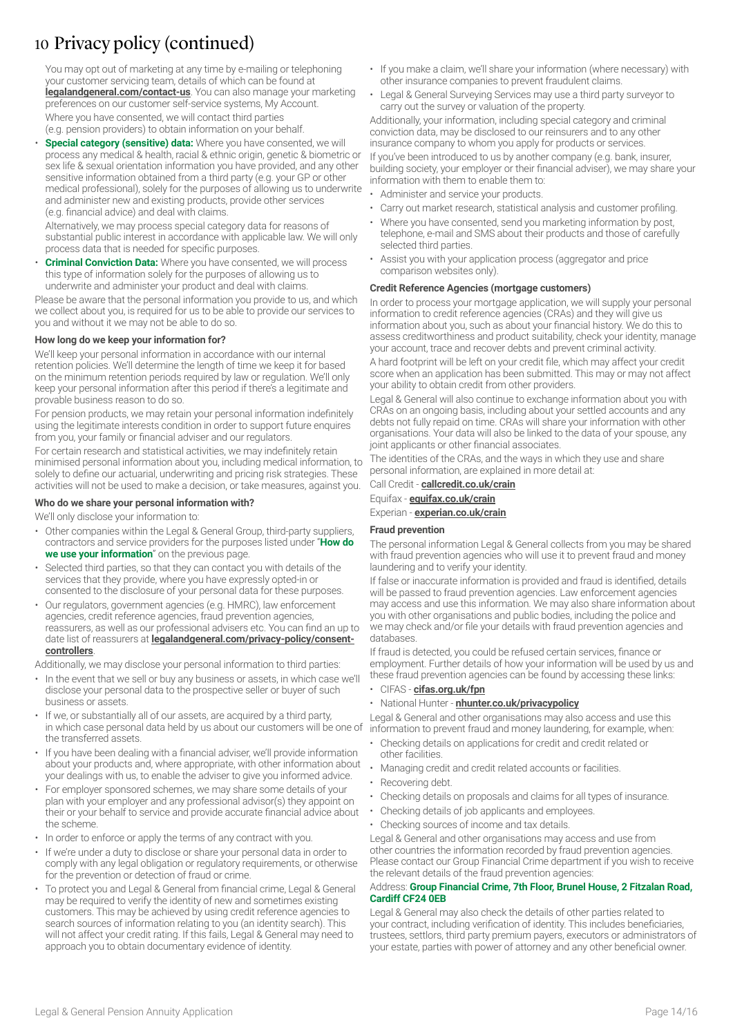### 10 Privacy policy (continued)

You may opt out of marketing at any time by e-mailing or telephoning your customer servicing team, details of which can be found at **[legalandgeneral.com/contact-us](http://legalandgeneral.com/contact-us)**. You can also manage your marketing preferences on our customer self-service systems, My Account.

Where you have consented, we will contact third parties (e.g. pension providers) to obtain information on your behalf.

• **Special category (sensitive) data:** Where you have consented, we will process any medical & health, racial & ethnic origin, genetic & biometric or sex life & sexual orientation information you have provided, and any other sensitive information obtained from a third party (e.g. your GP or other medical professional), solely for the purposes of allowing us to underwrite and administer new and existing products, provide other services (e.g. financial advice) and deal with claims.

Alternatively, we may process special category data for reasons of substantial public interest in accordance with applicable law. We will only process data that is needed for specific purposes.

• **Criminal Conviction Data:** Where you have consented, we will process this type of information solely for the purposes of allowing us to underwrite and administer your product and deal with claims.

Please be aware that the personal information you provide to us, and which we collect about you, is required for us to be able to provide our services to you and without it we may not be able to do so.

#### **How long do we keep your information for?**

We'll keep your personal information in accordance with our internal retention policies. We'll determine the length of time we keep it for based on the minimum retention periods required by law or regulation. We'll only keep your personal information after this period if there's a legitimate and provable business reason to do so.

For pension products, we may retain your personal information indefinitely using the legitimate interests condition in order to support future enquires from you, your family or financial adviser and our regulators.

For certain research and statistical activities, we may indefinitely retain minimised personal information about you, including medical information, to solely to define our actuarial, underwriting and pricing risk strategies. These activities will not be used to make a decision, or take measures, against you.

#### **Who do we share your personal information with?**

We'll only disclose your information to:

- Other companies within the Legal & General Group, third-party suppliers, contractors and service providers for the purposes listed under "**How do we use your information**" on the previous page.
- Selected third parties, so that they can contact you with details of the services that they provide, where you have expressly opted-in or consented to the disclosure of your personal data for these purposes.
- Our regulators, government agencies (e.g. HMRC), law enforcement agencies, credit reference agencies, fraud prevention agencies, reassurers, as well as our professional advisers etc. You can find an up to date list of reassurers at **[legalandgeneral.com/privacy-policy/consent](http://legalandgeneral.com/privacy-policy/consent-controllers)[controllers](http://legalandgeneral.com/privacy-policy/consent-controllers)**.

Additionally, we may disclose your personal information to third parties:

- In the event that we sell or buy any business or assets, in which case we'll disclose your personal data to the prospective seller or buyer of such business or assets.
- If we, or substantially all of our assets, are acquired by a third party, in which case personal data held by us about our customers will be one of the transferred assets.
- If you have been dealing with a financial adviser, we'll provide information about your products and, where appropriate, with other information about your dealings with us, to enable the adviser to give you informed advice.
- For employer sponsored schemes, we may share some details of your plan with your employer and any professional advisor(s) they appoint on their or your behalf to service and provide accurate financial advice about the scheme.
- In order to enforce or apply the terms of any contract with you.
- If we're under a duty to disclose or share your personal data in order to comply with any legal obligation or regulatory requirements, or otherwise for the prevention or detection of fraud or crime.
- To protect you and Legal & General from financial crime, Legal & General may be required to verify the identity of new and sometimes existing customers. This may be achieved by using credit reference agencies to search sources of information relating to you (an identity search). This will not affect your credit rating. If this fails, Legal & General may need to approach you to obtain documentary evidence of identity.
- If you make a claim, we'll share your information (where necessary) with other insurance companies to prevent fraudulent claims.
- Legal & General Surveying Services may use a third party surveyor to carry out the survey or valuation of the property.

Additionally, your information, including special category and criminal conviction data, may be disclosed to our reinsurers and to any other insurance company to whom you apply for products or services.

If you've been introduced to us by another company (e.g. bank, insurer, building society, your employer or their financial adviser), we may share your information with them to enable them to:

- Administer and service your products.
- Carry out market research, statistical analysis and customer profiling.
- Where you have consented, send you marketing information by post, telephone, e-mail and SMS about their products and those of carefully selected third parties.
- Assist you with your application process (aggregator and price comparison websites only).

#### **Credit Reference Agencies (mortgage customers)**

In order to process your mortgage application, we will supply your personal information to credit reference agencies (CRAs) and they will give us information about you, such as about your financial history. We do this to assess creditworthiness and product suitability, check your identity, manage your account, trace and recover debts and prevent criminal activity.

A hard footprint will be left on your credit file, which may affect your credit score when an application has been submitted. This may or may not affect your ability to obtain credit from other providers.

Legal & General will also continue to exchange information about you with CRAs on an ongoing basis, including about your settled accounts and any debts not fully repaid on time. CRAs will share your information with other organisations. Your data will also be linked to the data of your spouse, any joint applicants or other financial associates.

The identities of the CRAs, and the ways in which they use and share personal information, are explained in more detail at:

Call Credit - **[callcredit.co.uk/crain](http://www.callcredit.co.uk/crain)**

Equifax - **[equifax.co.uk/crain](http://www.equifax.co.uk/crain)**

#### Experian - **[experian.co.uk/crain](http://www.experian.co.uk/crain)**

#### **Fraud prevention**

The personal information Legal & General collects from you may be shared with fraud prevention agencies who will use it to prevent fraud and money laundering and to verify your identity.

If false or inaccurate information is provided and fraud is identified, details will be passed to fraud prevention agencies. Law enforcement agencies may access and use this information. We may also share information about you with other organisations and public bodies, including the police and we may check and/or file your details with fraud prevention agencies and databases.

If fraud is detected, you could be refused certain services, finance or employment. Further details of how your information will be used by us and these fraud prevention agencies can be found by accessing these links:

#### • CIFAS - **[cifas.org.uk/fpn](http://cifas.org.uk/fpn)**

• National Hunter - **[nhunter.co.uk/privacypolicy](http://nhunter.co.uk/privacypolicy)**

Legal & General and other organisations may also access and use this information to prevent fraud and money laundering, for example, when:

- Checking details on applications for credit and credit related or other facilities.
- Managing credit and credit related accounts or facilities.
- Recovering debt.
- Checking details on proposals and claims for all types of insurance.
- Checking details of job applicants and employees.
- Checking sources of income and tax details.

Legal & General and other organisations may access and use from other countries the information recorded by fraud prevention agencies. Please contact our Group Financial Crime department if you wish to receive the relevant details of the fraud prevention agencies:

#### Address: **Group Financial Crime, 7th Floor, Brunel House, 2 Fitzalan Road, Cardiff CF24 0EB**

Legal & General may also check the details of other parties related to your contract, including verification of identity. This includes beneficiaries, trustees, settlors, third party premium payers, executors or administrators of your estate, parties with power of attorney and any other beneficial owner.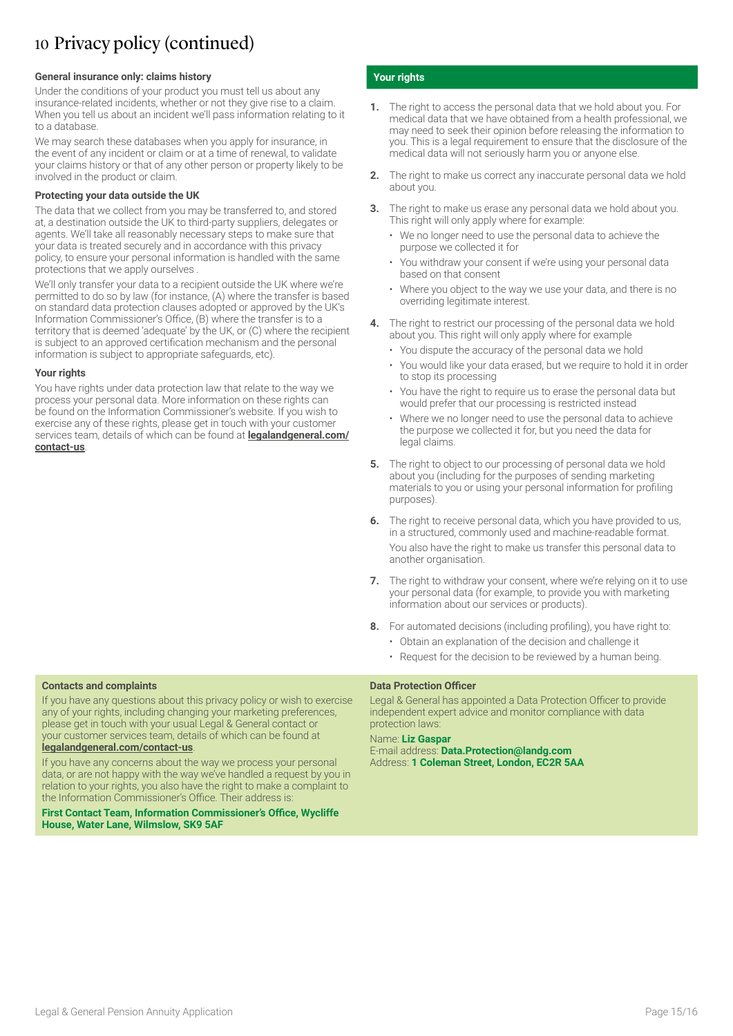### 10 Privacy policy (continued)

#### **General insurance only: claims history**

Under the conditions of your product you must tell us about any insurance-related incidents, whether or not they give rise to a claim. When you tell us about an incident we'll pass information relating to it to a database.

We may search these databases when you apply for insurance, in the event of any incident or claim or at a time of renewal, to validate your claims history or that of any other person or property likely to be involved in the product or claim.

#### **Protecting your data outside the UK**

The data that we collect from you may be transferred to, and stored at, a destination outside the UK to third-party suppliers, delegates or agents. We'll take all reasonably necessary steps to make sure that your data is treated securely and in accordance with this privacy policy, to ensure your personal information is handled with the same protections that we apply ourselves .

We'll only transfer your data to a recipient outside the UK where we're permitted to do so by law (for instance, (A) where the transfer is based on standard data protection clauses adopted or approved by the UK's Information Commissioner's Office, (B) where the transfer is to a territory that is deemed 'adequate' by the UK, or (C) where the recipient is subject to an approved certification mechanism and the personal information is subject to appropriate safeguards, etc).

#### **Your rights**

You have rights under data protection law that relate to the way we process your personal data. More information on these rights can be found on the Information Commissioner's website. If you wish to exercise any of these rights, please get in touch with your customer services team, details of which can be found at **[legalandgeneral.com/](http://legalandgeneral.com/contact-us) [contact-us](http://legalandgeneral.com/contact-us)**.

### **Contacts and complaints**

If you have any questions about this privacy policy or wish to exercise any of your rights, including changing your marketing preferences, please get in touch with your usual Legal & General contact or your customer services team, details of which can be found at **[legalandgeneral.com/contact-us](http://legalandgeneral.com/contact-us)**.

If you have any concerns about the way we process your personal data, or are not happy with the way we've handled a request by you in relation to your rights, you also have the right to make a complaint to the Information Commissioner's Office. Their address is:

**First Contact Team, Information Commissioner's Office, Wycliffe House, Water Lane, Wilmslow, SK9 5AF**

#### **Your rights**

- **1.** The right to access the personal data that we hold about you. For medical data that we have obtained from a health professional, we may need to seek their opinion before releasing the information to you. This is a legal requirement to ensure that the disclosure of the medical data will not seriously harm you or anyone else.
- **2.** The right to make us correct any inaccurate personal data we hold about you.
- **3.** The right to make us erase any personal data we hold about you. This right will only apply where for example:
	- We no longer need to use the personal data to achieve the purpose we collected it for
	- You withdraw your consent if we're using your personal data based on that consent
	- Where you object to the way we use your data, and there is no overriding legitimate interest.
- **4.** The right to restrict our processing of the personal data we hold about you. This right will only apply where for example
	- You dispute the accuracy of the personal data we hold
	- You would like your data erased, but we require to hold it in order to stop its processing
	- You have the right to require us to erase the personal data but would prefer that our processing is restricted instead
	- Where we no longer need to use the personal data to achieve the purpose we collected it for, but you need the data for legal claims.
- **5.** The right to object to our processing of personal data we hold about you (including for the purposes of sending marketing materials to you or using your personal information for profiling purposes).
- The right to receive personal data, which you have provided to us, in a structured, commonly used and machine-readable format. You also have the right to make us transfer this personal data to another organisation.
- **7.** The right to withdraw your consent, where we're relying on it to use your personal data (for example, to provide you with marketing information about our services or products).
- **8.** For automated decisions (including profiling), you have right to:
	- Obtain an explanation of the decision and challenge it
	- Request for the decision to be reviewed by a human being.

#### **Data Protection Officer**

Legal & General has appointed a Data Protection Officer to provide independent expert advice and monitor compliance with data protection laws:

#### Name: **Liz Gaspar**

E-mail address: **Data.Protection@landg.com** Address: **1 Coleman Street, London, EC2R 5AA**